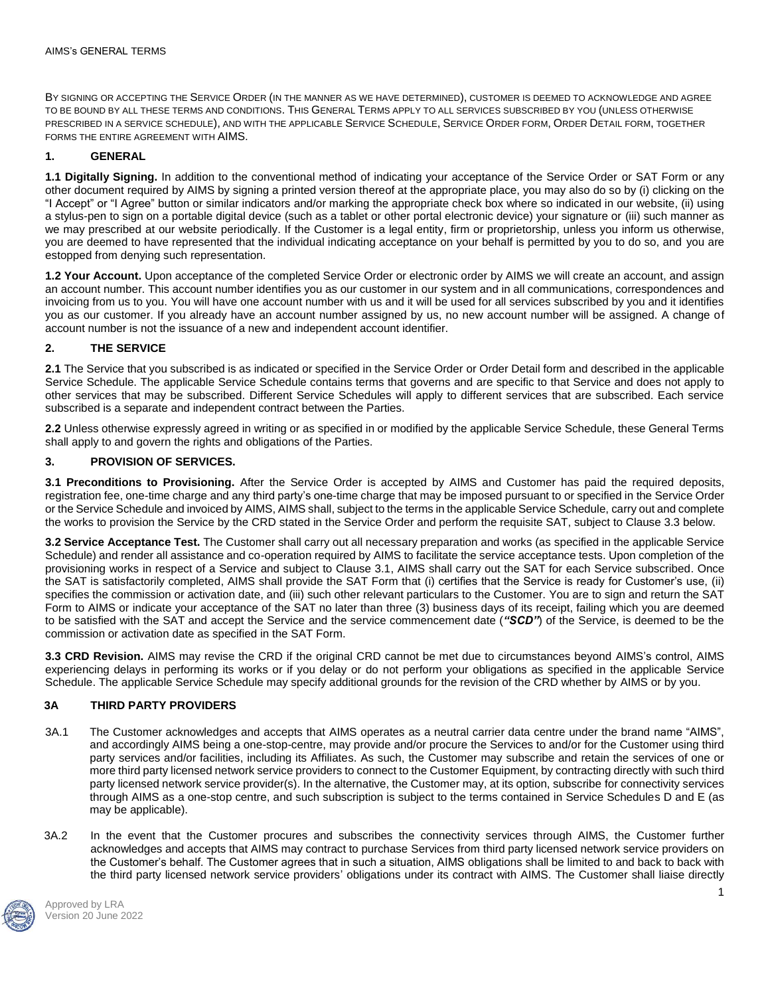BY SIGNING OR ACCEPTING THE SERVICE ORDER (IN THE MANNER AS WE HAVE DETERMINED), CUSTOMER IS DEEMED TO ACKNOWLEDGE AND AGREE TO BE BOUND BY ALL THESE TERMS AND CONDITIONS. THIS GENERAL TERMS APPLY TO ALL SERVICES SUBSCRIBED BY YOU (UNLESS OTHERWISE PRESCRIBED IN A SERVICE SCHEDULE), AND WITH THE APPLICABLE SERVICE SCHEDULE, SERVICE ORDER FORM, ORDER DETAIL FORM, TOGETHER FORMS THE ENTIRE AGREEMENT WITH AIMS.

# **1. GENERAL**

**1.1 Digitally Signing.** In addition to the conventional method of indicating your acceptance of the Service Order or SAT Form or any other document required by AIMS by signing a printed version thereof at the appropriate place, you may also do so by (i) clicking on the "I Accept" or "I Agree" button or similar indicators and/or marking the appropriate check box where so indicated in our website, (ii) using a stylus-pen to sign on a portable digital device (such as a tablet or other portal electronic device) your signature or (iii) such manner as we may prescribed at our website periodically. If the Customer is a legal entity, firm or proprietorship, unless you inform us otherwise, you are deemed to have represented that the individual indicating acceptance on your behalf is permitted by you to do so, and you are estopped from denying such representation.

**1.2 Your Account.** Upon acceptance of the completed Service Order or electronic order by AIMS we will create an account, and assign an account number. This account number identifies you as our customer in our system and in all communications, correspondences and invoicing from us to you. You will have one account number with us and it will be used for all services subscribed by you and it identifies you as our customer. If you already have an account number assigned by us, no new account number will be assigned. A change of account number is not the issuance of a new and independent account identifier.

## **2. THE SERVICE**

**2.1** The Service that you subscribed is as indicated or specified in the Service Order or Order Detail form and described in the applicable Service Schedule. The applicable Service Schedule contains terms that governs and are specific to that Service and does not apply to other services that may be subscribed. Different Service Schedules will apply to different services that are subscribed. Each service subscribed is a separate and independent contract between the Parties.

**2.2** Unless otherwise expressly agreed in writing or as specified in or modified by the applicable Service Schedule, these General Terms shall apply to and govern the rights and obligations of the Parties.

## **3. PROVISION OF SERVICES.**

**3.1 Preconditions to Provisioning.** After the Service Order is accepted by AIMS and Customer has paid the required deposits, registration fee, one-time charge and any third party's one-time charge that may be imposed pursuant to or specified in the Service Order or the Service Schedule and invoiced by AIMS, AIMS shall, subject to the terms in the applicable Service Schedule, carry out and complete the works to provision the Service by the CRD stated in the Service Order and perform the requisite SAT, subject to Clause 3.3 below.

**3.2 Service Acceptance Test.** The Customer shall carry out all necessary preparation and works (as specified in the applicable Service Schedule) and render all assistance and co-operation required by AIMS to facilitate the service acceptance tests. Upon completion of the provisioning works in respect of a Service and subject to Clause 3.1, AIMS shall carry out the SAT for each Service subscribed. Once the SAT is satisfactorily completed, AIMS shall provide the SAT Form that (i) certifies that the Service is ready for Customer's use, (ii) specifies the commission or activation date, and (iii) such other relevant particulars to the Customer. You are to sign and return the SAT Form to AIMS or indicate your acceptance of the SAT no later than three (3) business days of its receipt, failing which you are deemed to be satisfied with the SAT and accept the Service and the service commencement date (*"SCD"*) of the Service, is deemed to be the commission or activation date as specified in the SAT Form.

**3.3 CRD Revision.** AIMS may revise the CRD if the original CRD cannot be met due to circumstances beyond AIMS's control, AIMS experiencing delays in performing its works or if you delay or do not perform your obligations as specified in the applicable Service Schedule. The applicable Service Schedule may specify additional grounds for the revision of the CRD whether by AIMS or by you.

# **3A THIRD PARTY PROVIDERS**

- 3A.1 The Customer acknowledges and accepts that AIMS operates as a neutral carrier data centre under the brand name "AIMS", and accordingly AIMS being a one-stop-centre, may provide and/or procure the Services to and/or for the Customer using third party services and/or facilities, including its Affiliates. As such, the Customer may subscribe and retain the services of one or more third party licensed network service providers to connect to the Customer Equipment, by contracting directly with such third party licensed network service provider(s). In the alternative, the Customer may, at its option, subscribe for connectivity services through AIMS as a one-stop centre, and such subscription is subject to the terms contained in Service Schedules D and E (as may be applicable).
- 3A.2 In the event that the Customer procures and subscribes the connectivity services through AIMS, the Customer further acknowledges and accepts that AIMS may contract to purchase Services from third party licensed network service providers on the Customer's behalf. The Customer agrees that in such a situation, AIMS obligations shall be limited to and back to back with the third party licensed network service providers' obligations under its contract with AIMS. The Customer shall liaise directly

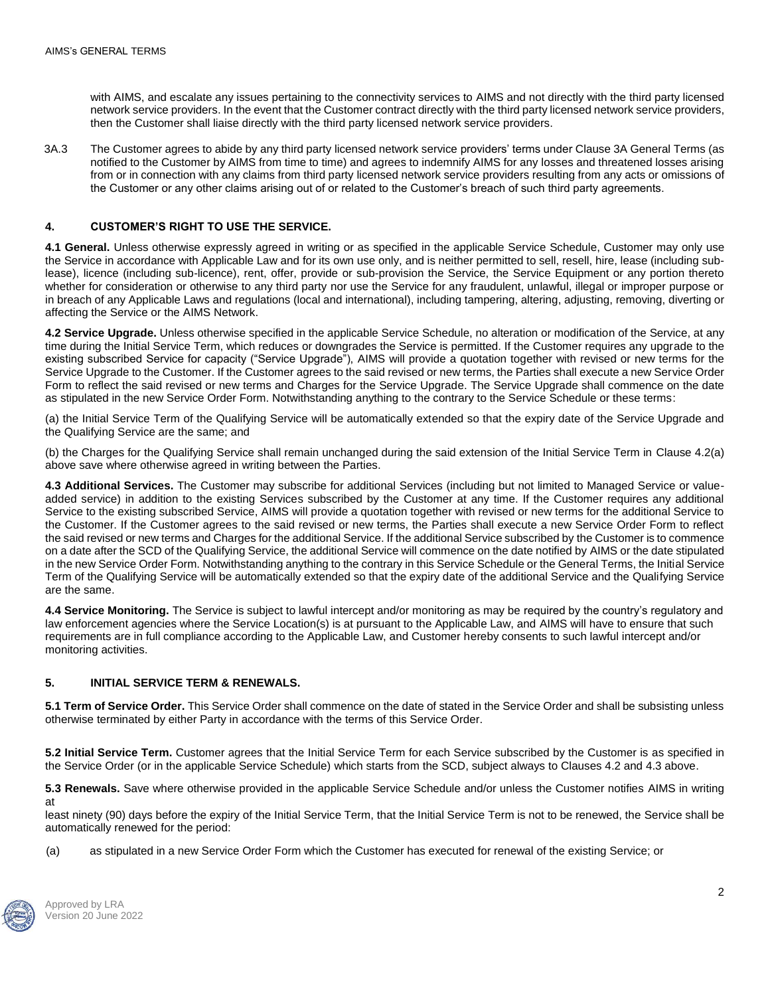with AIMS, and escalate any issues pertaining to the connectivity services to AIMS and not directly with the third party licensed network service providers. In the event that the Customer contract directly with the third party licensed network service providers, then the Customer shall liaise directly with the third party licensed network service providers.

3A.3 The Customer agrees to abide by any third party licensed network service providers' terms under Clause 3A General Terms (as notified to the Customer by AIMS from time to time) and agrees to indemnify AIMS for any losses and threatened losses arising from or in connection with any claims from third party licensed network service providers resulting from any acts or omissions of the Customer or any other claims arising out of or related to the Customer's breach of such third party agreements.

## **4. CUSTOMER'S RIGHT TO USE THE SERVICE.**

**4.1 General.** Unless otherwise expressly agreed in writing or as specified in the applicable Service Schedule, Customer may only use the Service in accordance with Applicable Law and for its own use only, and is neither permitted to sell, resell, hire, lease (including sublease), licence (including sub-licence), rent, offer, provide or sub-provision the Service, the Service Equipment or any portion thereto whether for consideration or otherwise to any third party nor use the Service for any fraudulent, unlawful, illegal or improper purpose or in breach of any Applicable Laws and regulations (local and international), including tampering, altering, adjusting, removing, diverting or affecting the Service or the AIMS Network.

**4.2 Service Upgrade.** Unless otherwise specified in the applicable Service Schedule, no alteration or modification of the Service, at any time during the Initial Service Term, which reduces or downgrades the Service is permitted. If the Customer requires any upgrade to the existing subscribed Service for capacity ("Service Upgrade"), AIMS will provide a quotation together with revised or new terms for the Service Upgrade to the Customer. If the Customer agrees to the said revised or new terms, the Parties shall execute a new Service Order Form to reflect the said revised or new terms and Charges for the Service Upgrade. The Service Upgrade shall commence on the date as stipulated in the new Service Order Form. Notwithstanding anything to the contrary to the Service Schedule or these terms:

(a) the Initial Service Term of the Qualifying Service will be automatically extended so that the expiry date of the Service Upgrade and the Qualifying Service are the same; and

(b) the Charges for the Qualifying Service shall remain unchanged during the said extension of the Initial Service Term in Clause 4.2(a) above save where otherwise agreed in writing between the Parties.

**4.3 Additional Services.** The Customer may subscribe for additional Services (including but not limited to Managed Service or valueadded service) in addition to the existing Services subscribed by the Customer at any time. If the Customer requires any additional Service to the existing subscribed Service, AIMS will provide a quotation together with revised or new terms for the additional Service to the Customer. If the Customer agrees to the said revised or new terms, the Parties shall execute a new Service Order Form to reflect the said revised or new terms and Charges for the additional Service. If the additional Service subscribed by the Customer is to commence on a date after the SCD of the Qualifying Service, the additional Service will commence on the date notified by AIMS or the date stipulated in the new Service Order Form. Notwithstanding anything to the contrary in this Service Schedule or the General Terms, the Initial Service Term of the Qualifying Service will be automatically extended so that the expiry date of the additional Service and the Qualifying Service are the same.

**4.4 Service Monitoring.** The Service is subject to lawful intercept and/or monitoring as may be required by the country's regulatory and law enforcement agencies where the Service Location(s) is at pursuant to the Applicable Law, and AIMS will have to ensure that such requirements are in full compliance according to the Applicable Law, and Customer hereby consents to such lawful intercept and/or monitoring activities.

### **5. INITIAL SERVICE TERM & RENEWALS.**

**5.1 Term of Service Order.** This Service Order shall commence on the date of stated in the Service Order and shall be subsisting unless otherwise terminated by either Party in accordance with the terms of this Service Order.

**5.2 Initial Service Term.** Customer agrees that the Initial Service Term for each Service subscribed by the Customer is as specified in the Service Order (or in the applicable Service Schedule) which starts from the SCD, subject always to Clauses 4.2 and 4.3 above.

**5.3 Renewals.** Save where otherwise provided in the applicable Service Schedule and/or unless the Customer notifies AIMS in writing at

least ninety (90) days before the expiry of the Initial Service Term, that the Initial Service Term is not to be renewed, the Service shall be automatically renewed for the period:

(a) as stipulated in a new Service Order Form which the Customer has executed for renewal of the existing Service; or

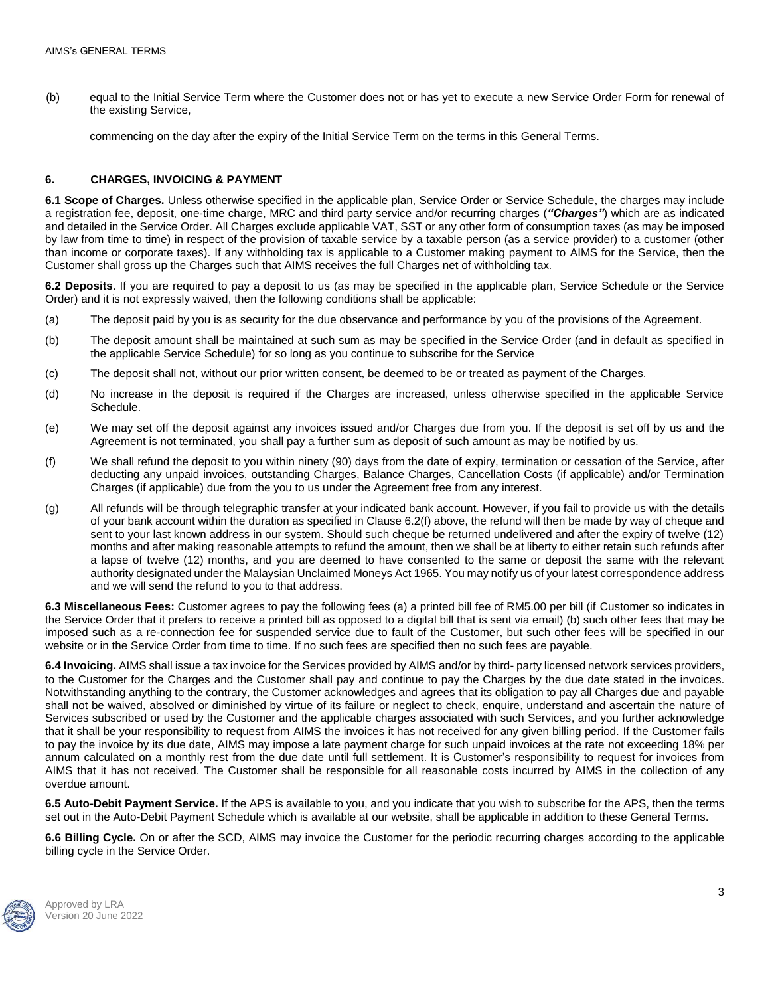(b) equal to the Initial Service Term where the Customer does not or has yet to execute a new Service Order Form for renewal of the existing Service,

commencing on the day after the expiry of the Initial Service Term on the terms in this General Terms.

## **6. CHARGES, INVOICING & PAYMENT**

**6.1 Scope of Charges.** Unless otherwise specified in the applicable plan, Service Order or Service Schedule, the charges may include a registration fee, deposit, one-time charge, MRC and third party service and/or recurring charges (*"Charges"*) which are as indicated and detailed in the Service Order. All Charges exclude applicable VAT, SST or any other form of consumption taxes (as may be imposed by law from time to time) in respect of the provision of taxable service by a taxable person (as a service provider) to a customer (other than income or corporate taxes). If any withholding tax is applicable to a Customer making payment to AIMS for the Service, then the Customer shall gross up the Charges such that AIMS receives the full Charges net of withholding tax.

**6.2 Deposits**. If you are required to pay a deposit to us (as may be specified in the applicable plan, Service Schedule or the Service Order) and it is not expressly waived, then the following conditions shall be applicable:

- (a) The deposit paid by you is as security for the due observance and performance by you of the provisions of the Agreement.
- (b) The deposit amount shall be maintained at such sum as may be specified in the Service Order (and in default as specified in the applicable Service Schedule) for so long as you continue to subscribe for the Service
- (c) The deposit shall not, without our prior written consent, be deemed to be or treated as payment of the Charges.
- (d) No increase in the deposit is required if the Charges are increased, unless otherwise specified in the applicable Service Schedule.
- (e) We may set off the deposit against any invoices issued and/or Charges due from you. If the deposit is set off by us and the Agreement is not terminated, you shall pay a further sum as deposit of such amount as may be notified by us.
- (f) We shall refund the deposit to you within ninety (90) days from the date of expiry, termination or cessation of the Service, after deducting any unpaid invoices, outstanding Charges, Balance Charges, Cancellation Costs (if applicable) and/or Termination Charges (if applicable) due from the you to us under the Agreement free from any interest.
- (g) All refunds will be through telegraphic transfer at your indicated bank account. However, if you fail to provide us with the details of your bank account within the duration as specified in Clause 6.2(f) above, the refund will then be made by way of cheque and sent to your last known address in our system. Should such cheque be returned undelivered and after the expiry of twelve (12) months and after making reasonable attempts to refund the amount, then we shall be at liberty to either retain such refunds after a lapse of twelve (12) months, and you are deemed to have consented to the same or deposit the same with the relevant authority designated under the Malaysian Unclaimed Moneys Act 1965. You may notify us of your latest correspondence address and we will send the refund to you to that address.

**6.3 Miscellaneous Fees:** Customer agrees to pay the following fees (a) a printed bill fee of RM5.00 per bill (if Customer so indicates in the Service Order that it prefers to receive a printed bill as opposed to a digital bill that is sent via email) (b) such other fees that may be imposed such as a re-connection fee for suspended service due to fault of the Customer, but such other fees will be specified in our website or in the Service Order from time to time. If no such fees are specified then no such fees are payable.

**6.4 Invoicing.** AIMS shall issue a tax invoice for the Services provided by AIMS and/or by third- party licensed network services providers, to the Customer for the Charges and the Customer shall pay and continue to pay the Charges by the due date stated in the invoices. Notwithstanding anything to the contrary, the Customer acknowledges and agrees that its obligation to pay all Charges due and payable shall not be waived, absolved or diminished by virtue of its failure or neglect to check, enquire, understand and ascertain the nature of Services subscribed or used by the Customer and the applicable charges associated with such Services, and you further acknowledge that it shall be your responsibility to request from AIMS the invoices it has not received for any given billing period. If the Customer fails to pay the invoice by its due date, AIMS may impose a late payment charge for such unpaid invoices at the rate not exceeding 18% per annum calculated on a monthly rest from the due date until full settlement. It is Customer's responsibility to request for invoices from AIMS that it has not received. The Customer shall be responsible for all reasonable costs incurred by AIMS in the collection of any overdue amount.

**6.5 Auto-Debit Payment Service.** If the APS is available to you, and you indicate that you wish to subscribe for the APS, then the terms set out in the Auto-Debit Payment Schedule which is available at our website, shall be applicable in addition to these General Terms.

**6.6 Billing Cycle.** On or after the SCD, AIMS may invoice the Customer for the periodic recurring charges according to the applicable billing cycle in the Service Order.

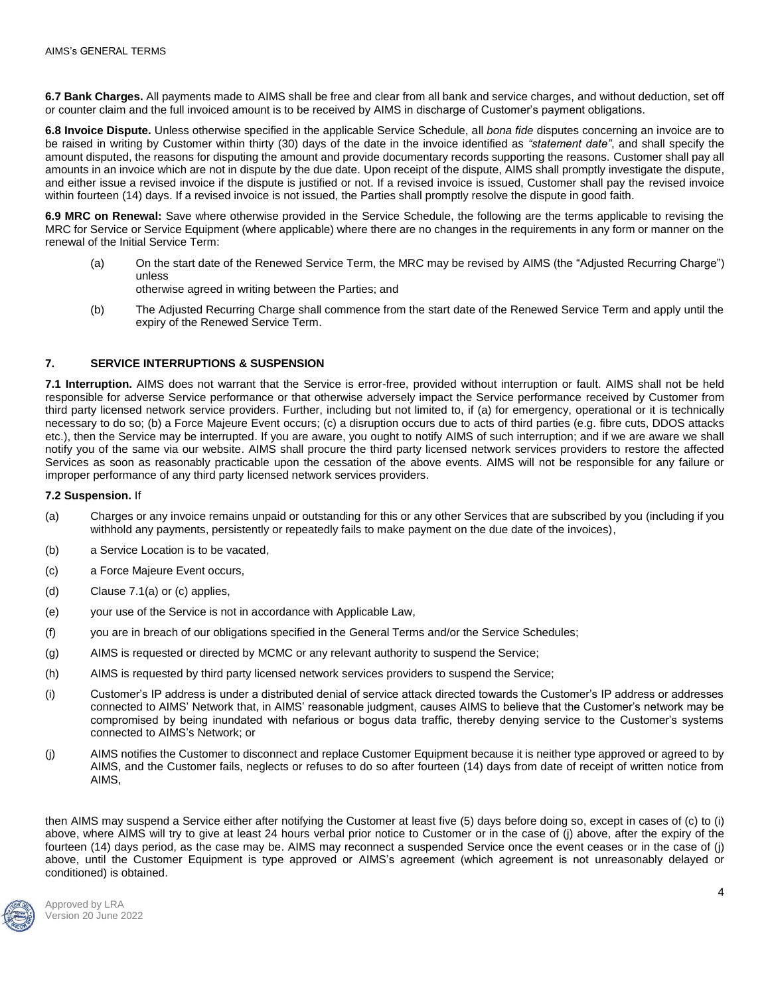**6.7 Bank Charges.** All payments made to AIMS shall be free and clear from all bank and service charges, and without deduction, set off or counter claim and the full invoiced amount is to be received by AIMS in discharge of Customer's payment obligations.

**6.8 Invoice Dispute.** Unless otherwise specified in the applicable Service Schedule, all *bona fide* disputes concerning an invoice are to be raised in writing by Customer within thirty (30) days of the date in the invoice identified as *"statement date"*, and shall specify the amount disputed, the reasons for disputing the amount and provide documentary records supporting the reasons. Customer shall pay all amounts in an invoice which are not in dispute by the due date. Upon receipt of the dispute, AIMS shall promptly investigate the dispute, and either issue a revised invoice if the dispute is justified or not. If a revised invoice is issued, Customer shall pay the revised invoice within fourteen (14) days. If a revised invoice is not issued, the Parties shall promptly resolve the dispute in good faith.

**6.9 MRC on Renewal:** Save where otherwise provided in the Service Schedule, the following are the terms applicable to revising the MRC for Service or Service Equipment (where applicable) where there are no changes in the requirements in any form or manner on the renewal of the Initial Service Term:

- (a) On the start date of the Renewed Service Term, the MRC may be revised by AIMS (the "Adjusted Recurring Charge") unless
	- otherwise agreed in writing between the Parties; and
- (b) The Adjusted Recurring Charge shall commence from the start date of the Renewed Service Term and apply until the expiry of the Renewed Service Term.

## **7. SERVICE INTERRUPTIONS & SUSPENSION**

**7.1 Interruption.** AIMS does not warrant that the Service is error-free, provided without interruption or fault. AIMS shall not be held responsible for adverse Service performance or that otherwise adversely impact the Service performance received by Customer from third party licensed network service providers. Further, including but not limited to, if (a) for emergency, operational or it is technically necessary to do so; (b) a Force Majeure Event occurs; (c) a disruption occurs due to acts of third parties (e.g. fibre cuts, DDOS attacks etc.), then the Service may be interrupted. If you are aware, you ought to notify AIMS of such interruption; and if we are aware we shall notify you of the same via our website. AIMS shall procure the third party licensed network services providers to restore the affected Services as soon as reasonably practicable upon the cessation of the above events. AIMS will not be responsible for any failure or improper performance of any third party licensed network services providers.

#### **7.2 Suspension.** If

- (a) Charges or any invoice remains unpaid or outstanding for this or any other Services that are subscribed by you (including if you withhold any payments, persistently or repeatedly fails to make payment on the due date of the invoices),
- (b) a Service Location is to be vacated,
- (c) a Force Majeure Event occurs,
- (d) Clause 7.1(a) or (c) applies,
- (e) your use of the Service is not in accordance with Applicable Law,
- (f) you are in breach of our obligations specified in the General Terms and/or the Service Schedules;
- (g) AIMS is requested or directed by MCMC or any relevant authority to suspend the Service;
- (h) AIMS is requested by third party licensed network services providers to suspend the Service;
- (i) Customer's IP address is under a distributed denial of service attack directed towards the Customer's IP address or addresses connected to AIMS' Network that, in AIMS' reasonable judgment, causes AIMS to believe that the Customer's network may be compromised by being inundated with nefarious or bogus data traffic, thereby denying service to the Customer's systems connected to AIMS's Network; or
- (j) AIMS notifies the Customer to disconnect and replace Customer Equipment because it is neither type approved or agreed to by AIMS, and the Customer fails, neglects or refuses to do so after fourteen (14) days from date of receipt of written notice from AIMS,

then AIMS may suspend a Service either after notifying the Customer at least five (5) days before doing so, except in cases of (c) to (i) above, where AIMS will try to give at least 24 hours verbal prior notice to Customer or in the case of (j) above, after the expiry of the fourteen (14) days period, as the case may be. AIMS may reconnect a suspended Service once the event ceases or in the case of (j) above, until the Customer Equipment is type approved or AIMS's agreement (which agreement is not unreasonably delayed or conditioned) is obtained.

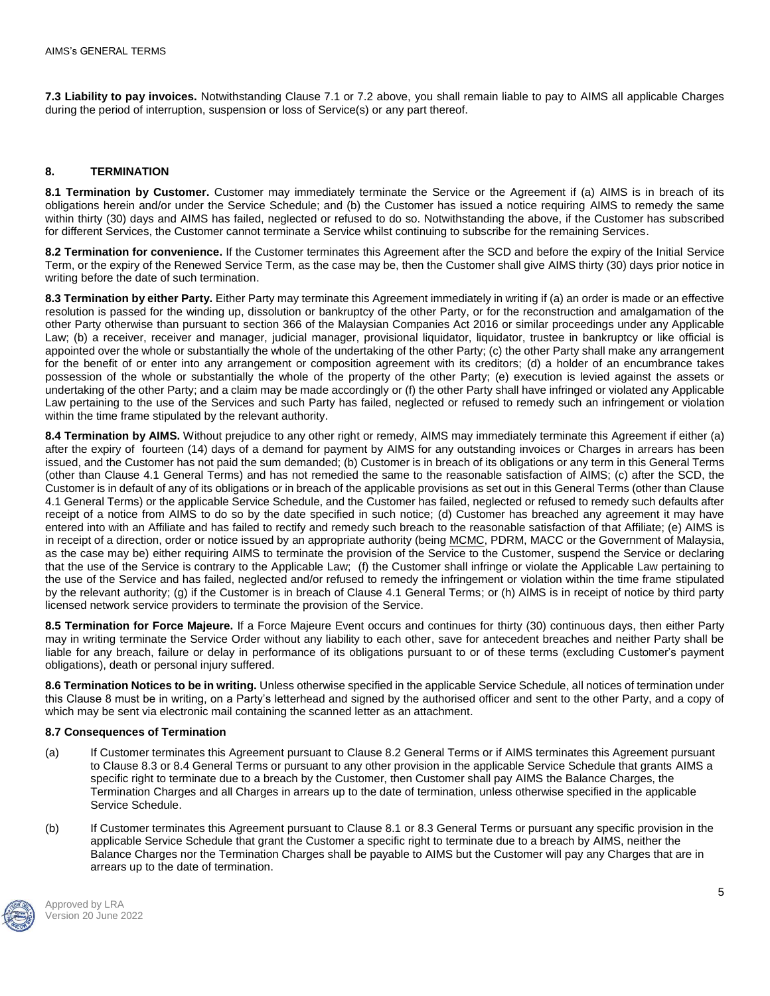**7.3 Liability to pay invoices.** Notwithstanding Clause 7.1 or 7.2 above, you shall remain liable to pay to AIMS all applicable Charges during the period of interruption, suspension or loss of Service(s) or any part thereof.

## **8. TERMINATION**

**8.1 Termination by Customer.** Customer may immediately terminate the Service or the Agreement if (a) AIMS is in breach of its obligations herein and/or under the Service Schedule; and (b) the Customer has issued a notice requiring AIMS to remedy the same within thirty (30) days and AIMS has failed, neglected or refused to do so. Notwithstanding the above, if the Customer has subscribed for different Services, the Customer cannot terminate a Service whilst continuing to subscribe for the remaining Services.

**8.2 Termination for convenience.** If the Customer terminates this Agreement after the SCD and before the expiry of the Initial Service Term, or the expiry of the Renewed Service Term, as the case may be, then the Customer shall give AIMS thirty (30) days prior notice in writing before the date of such termination.

**8.3 Termination by either Party.** Either Party may terminate this Agreement immediately in writing if (a) an order is made or an effective resolution is passed for the winding up, dissolution or bankruptcy of the other Party, or for the reconstruction and amalgamation of the other Party otherwise than pursuant to section 366 of the Malaysian Companies Act 2016 or similar proceedings under any Applicable Law; (b) a receiver, receiver and manager, judicial manager, provisional liquidator, liquidator, trustee in bankruptcy or like official is appointed over the whole or substantially the whole of the undertaking of the other Party; (c) the other Party shall make any arrangement for the benefit of or enter into any arrangement or composition agreement with its creditors; (d) a holder of an encumbrance takes possession of the whole or substantially the whole of the property of the other Party; (e) execution is levied against the assets or undertaking of the other Party; and a claim may be made accordingly or (f) the other Party shall have infringed or violated any Applicable Law pertaining to the use of the Services and such Party has failed, neglected or refused to remedy such an infringement or violation within the time frame stipulated by the relevant authority.

**8.4 Termination by AIMS.** Without prejudice to any other right or remedy, AIMS may immediately terminate this Agreement if either (a) after the expiry of fourteen (14) days of a demand for payment by AIMS for any outstanding invoices or Charges in arrears has been issued, and the Customer has not paid the sum demanded; (b) Customer is in breach of its obligations or any term in this General Terms (other than Clause 4.1 General Terms) and has not remedied the same to the reasonable satisfaction of AIMS; (c) after the SCD, the Customer is in default of any of its obligations or in breach of the applicable provisions as set out in this General Terms (other than Clause 4.1 General Terms) or the applicable Service Schedule, and the Customer has failed, neglected or refused to remedy such defaults after receipt of a notice from AIMS to do so by the date specified in such notice; (d) Customer has breached any agreement it may have entered into with an Affiliate and has failed to rectify and remedy such breach to the reasonable satisfaction of that Affiliate; (e) AIMS is in receipt of a direction, order or notice issued by an appropriate authority (being MCMC, PDRM, MACC or the Government of Malaysia, as the case may be) either requiring AIMS to terminate the provision of the Service to the Customer, suspend the Service or declaring that the use of the Service is contrary to the Applicable Law; (f) the Customer shall infringe or violate the Applicable Law pertaining to the use of the Service and has failed, neglected and/or refused to remedy the infringement or violation within the time frame stipulated by the relevant authority; (g) if the Customer is in breach of Clause 4.1 General Terms; or (h) AIMS is in receipt of notice by third party licensed network service providers to terminate the provision of the Service.

**8.5 Termination for Force Majeure.** If a Force Majeure Event occurs and continues for thirty (30) continuous days, then either Party may in writing terminate the Service Order without any liability to each other, save for antecedent breaches and neither Party shall be liable for any breach, failure or delay in performance of its obligations pursuant to or of these terms (excluding Customer's payment obligations), death or personal injury suffered.

**8.6 Termination Notices to be in writing.** Unless otherwise specified in the applicable Service Schedule, all notices of termination under this Clause 8 must be in writing, on a Party's letterhead and signed by the authorised officer and sent to the other Party, and a copy of which may be sent via electronic mail containing the scanned letter as an attachment.

### **8.7 Consequences of Termination**

- (a) If Customer terminates this Agreement pursuant to Clause 8.2 General Terms or if AIMS terminates this Agreement pursuant to Clause 8.3 or 8.4 General Terms or pursuant to any other provision in the applicable Service Schedule that grants AIMS a specific right to terminate due to a breach by the Customer, then Customer shall pay AIMS the Balance Charges, the Termination Charges and all Charges in arrears up to the date of termination, unless otherwise specified in the applicable Service Schedule.
- (b) If Customer terminates this Agreement pursuant to Clause 8.1 or 8.3 General Terms or pursuant any specific provision in the applicable Service Schedule that grant the Customer a specific right to terminate due to a breach by AIMS, neither the Balance Charges nor the Termination Charges shall be payable to AIMS but the Customer will pay any Charges that are in arrears up to the date of termination.

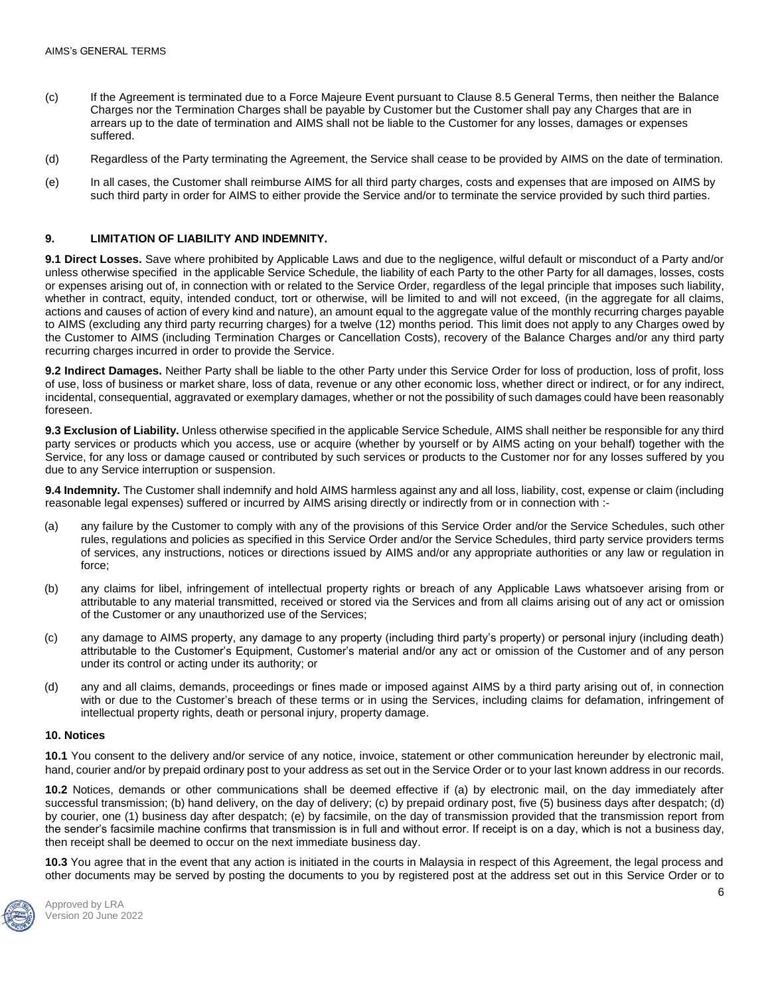- (c) If the Agreement is terminated due to a Force Majeure Event pursuant to Clause 8.5 General Terms, then neither the Balance Charges nor the Termination Charges shall be payable by Customer but the Customer shall pay any Charges that are in arrears up to the date of termination and AIMS shall not be liable to the Customer for any losses, damages or expenses suffered.
- (d) Regardless of the Party terminating the Agreement, the Service shall cease to be provided by AIMS on the date of termination.
- (e) In all cases, the Customer shall reimburse AIMS for all third party charges, costs and expenses that are imposed on AIMS by such third party in order for AIMS to either provide the Service and/or to terminate the service provided by such third parties.

#### **9. LIMITATION OF LIABILITY AND INDEMNITY.**

**9.1 Direct Losses.** Save where prohibited by Applicable Laws and due to the negligence, wilful default or misconduct of a Party and/or unless otherwise specified in the applicable Service Schedule, the liability of each Party to the other Party for all damages, losses, costs or expenses arising out of, in connection with or related to the Service Order, regardless of the legal principle that imposes such liability, whether in contract, equity, intended conduct, tort or otherwise, will be limited to and will not exceed, (in the aggregate for all claims, actions and causes of action of every kind and nature), an amount equal to the aggregate value of the monthly recurring charges payable to AIMS (excluding any third party recurring charges) for a twelve (12) months period. This limit does not apply to any Charges owed by the Customer to AIMS (including Termination Charges or Cancellation Costs), recovery of the Balance Charges and/or any third party recurring charges incurred in order to provide the Service.

**9.2 Indirect Damages.** Neither Party shall be liable to the other Party under this Service Order for loss of production, loss of profit, loss of use, loss of business or market share, loss of data, revenue or any other economic loss, whether direct or indirect, or for any indirect, incidental, consequential, aggravated or exemplary damages, whether or not the possibility of such damages could have been reasonably foreseen.

**9.3 Exclusion of Liability.** Unless otherwise specified in the applicable Service Schedule, AIMS shall neither be responsible for any third party services or products which you access, use or acquire (whether by yourself or by AIMS acting on your behalf) together with the Service, for any loss or damage caused or contributed by such services or products to the Customer nor for any losses suffered by you due to any Service interruption or suspension.

**9.4 Indemnity.** The Customer shall indemnify and hold AIMS harmless against any and all loss, liability, cost, expense or claim (including reasonable legal expenses) suffered or incurred by AIMS arising directly or indirectly from or in connection with :-

- (a) any failure by the Customer to comply with any of the provisions of this Service Order and/or the Service Schedules, such other rules, regulations and policies as specified in this Service Order and/or the Service Schedules, third party service providers terms of services, any instructions, notices or directions issued by AIMS and/or any appropriate authorities or any law or regulation in force;
- (b) any claims for libel, infringement of intellectual property rights or breach of any Applicable Laws whatsoever arising from or attributable to any material transmitted, received or stored via the Services and from all claims arising out of any act or omission of the Customer or any unauthorized use of the Services;
- (c) any damage to AIMS property, any damage to any property (including third party's property) or personal injury (including death) attributable to the Customer's Equipment, Customer's material and/or any act or omission of the Customer and of any person under its control or acting under its authority; or
- (d) any and all claims, demands, proceedings or fines made or imposed against AIMS by a third party arising out of, in connection with or due to the Customer's breach of these terms or in using the Services, including claims for defamation, infringement of intellectual property rights, death or personal injury, property damage.

#### **10. Notices**

**10.1** You consent to the delivery and/or service of any notice, invoice, statement or other communication hereunder by electronic mail, hand, courier and/or by prepaid ordinary post to your address as set out in the Service Order or to your last known address in our records.

**10.2** Notices, demands or other communications shall be deemed effective if (a) by electronic mail, on the day immediately after successful transmission; (b) hand delivery, on the day of delivery; (c) by prepaid ordinary post, five (5) business days after despatch; (d) by courier, one (1) business day after despatch; (e) by facsimile, on the day of transmission provided that the transmission report from the sender's facsimile machine confirms that transmission is in full and without error. If receipt is on a day, which is not a business day, then receipt shall be deemed to occur on the next immediate business day.

**10.3** You agree that in the event that any action is initiated in the courts in Malaysia in respect of this Agreement, the legal process and other documents may be served by posting the documents to you by registered post at the address set out in this Service Order or to

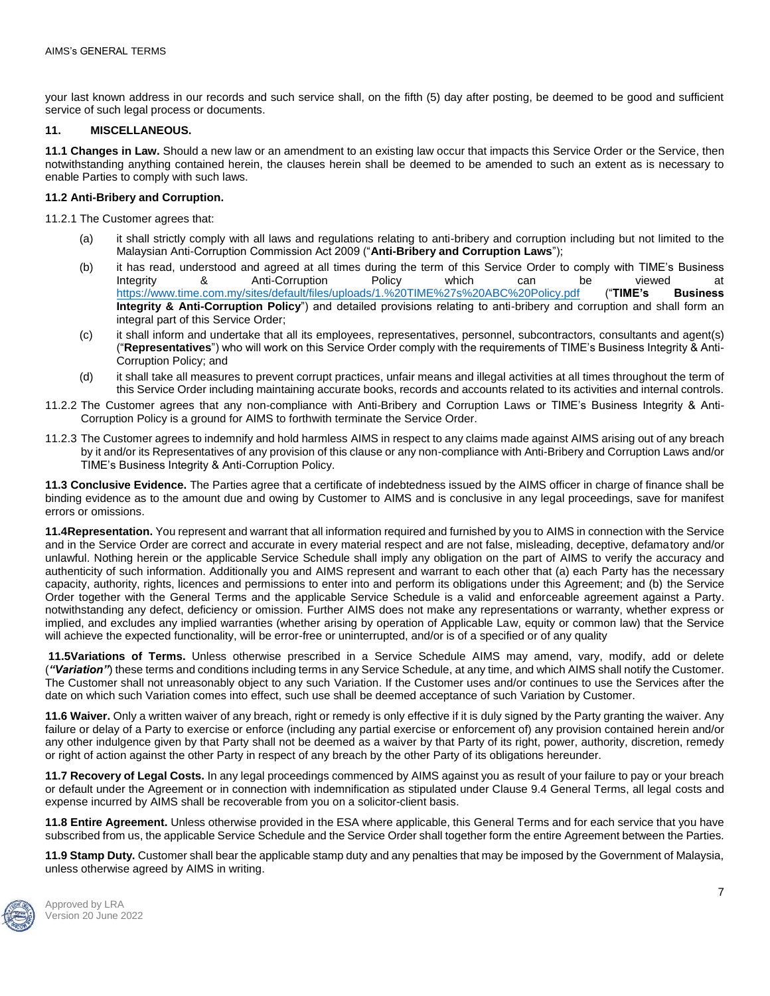your last known address in our records and such service shall, on the fifth (5) day after posting, be deemed to be good and sufficient service of such legal process or documents.

## **11. MISCELLANEOUS.**

**11.1 Changes in Law.** Should a new law or an amendment to an existing law occur that impacts this Service Order or the Service, then notwithstanding anything contained herein, the clauses herein shall be deemed to be amended to such an extent as is necessary to enable Parties to comply with such laws.

### **11.2 Anti-Bribery and Corruption.**

11.2.1 The Customer agrees that:

- (a) it shall strictly comply with all laws and regulations relating to anti-bribery and corruption including but not limited to the Malaysian Anti-Corruption Commission Act 2009 ("**Anti-Bribery and Corruption Laws**");
- (b) it has read, understood and agreed at all times during the term of this Service Order to comply with TIME's Business Integrity 8. Anti-Corruption Policy which can be viewed at<br>https://www.time.com.my/sites/default/files/uploads/1.%20TIME%27s%20ABC%20Policy.pdf ("TIME's Business <https://www.time.com.my/sites/default/files/uploads/1.%20TIME%27s%20ABC%20Policy.pdf> ("**TIME's Business Integrity & Anti-Corruption Policy**") and detailed provisions relating to anti-bribery and corruption and shall form an integral part of this Service Order;
- (c) it shall inform and undertake that all its employees, representatives, personnel, subcontractors, consultants and agent(s) ("**Representatives**") who will work on this Service Order comply with the requirements of TIME's Business Integrity & Anti-Corruption Policy; and
- (d) it shall take all measures to prevent corrupt practices, unfair means and illegal activities at all times throughout the term of this Service Order including maintaining accurate books, records and accounts related to its activities and internal controls.
- 11.2.2 The Customer agrees that any non-compliance with Anti-Bribery and Corruption Laws or TIME's Business Integrity & Anti-Corruption Policy is a ground for AIMS to forthwith terminate the Service Order.
- 11.2.3 The Customer agrees to indemnify and hold harmless AIMS in respect to any claims made against AIMS arising out of any breach by it and/or its Representatives of any provision of this clause or any non-compliance with Anti-Bribery and Corruption Laws and/or TIME's Business Integrity & Anti-Corruption Policy.

**11.3 Conclusive Evidence.** The Parties agree that a certificate of indebtedness issued by the AIMS officer in charge of finance shall be binding evidence as to the amount due and owing by Customer to AIMS and is conclusive in any legal proceedings, save for manifest errors or omissions.

**11.4Representation.** You represent and warrant that all information required and furnished by you to AIMS in connection with the Service and in the Service Order are correct and accurate in every material respect and are not false, misleading, deceptive, defamatory and/or unlawful. Nothing herein or the applicable Service Schedule shall imply any obligation on the part of AIMS to verify the accuracy and authenticity of such information. Additionally you and AIMS represent and warrant to each other that (a) each Party has the necessary capacity, authority, rights, licences and permissions to enter into and perform its obligations under this Agreement; and (b) the Service Order together with the General Terms and the applicable Service Schedule is a valid and enforceable agreement against a Party. notwithstanding any defect, deficiency or omission. Further AIMS does not make any representations or warranty, whether express or implied, and excludes any implied warranties (whether arising by operation of Applicable Law, equity or common law) that the Service will achieve the expected functionality, will be error-free or uninterrupted, and/or is of a specified or of any quality

**11.5Variations of Terms.** Unless otherwise prescribed in a Service Schedule AIMS may amend, vary, modify, add or delete (*"Variation"*) these terms and conditions including terms in any Service Schedule, at any time, and which AIMS shall notify the Customer. The Customer shall not unreasonably object to any such Variation. If the Customer uses and/or continues to use the Services after the date on which such Variation comes into effect, such use shall be deemed acceptance of such Variation by Customer.

**11.6 Waiver.** Only a written waiver of any breach, right or remedy is only effective if it is duly signed by the Party granting the waiver. Any failure or delay of a Party to exercise or enforce (including any partial exercise or enforcement of) any provision contained herein and/or any other indulgence given by that Party shall not be deemed as a waiver by that Party of its right, power, authority, discretion, remedy or right of action against the other Party in respect of any breach by the other Party of its obligations hereunder.

**11.7 Recovery of Legal Costs.** In any legal proceedings commenced by AIMS against you as result of your failure to pay or your breach or default under the Agreement or in connection with indemnification as stipulated under Clause 9.4 General Terms, all legal costs and expense incurred by AIMS shall be recoverable from you on a solicitor-client basis.

**11.8 Entire Agreement.** Unless otherwise provided in the ESA where applicable, this General Terms and for each service that you have subscribed from us, the applicable Service Schedule and the Service Order shall together form the entire Agreement between the Parties.

**11.9 Stamp Duty.** Customer shall bear the applicable stamp duty and any penalties that may be imposed by the Government of Malaysia, unless otherwise agreed by AIMS in writing.

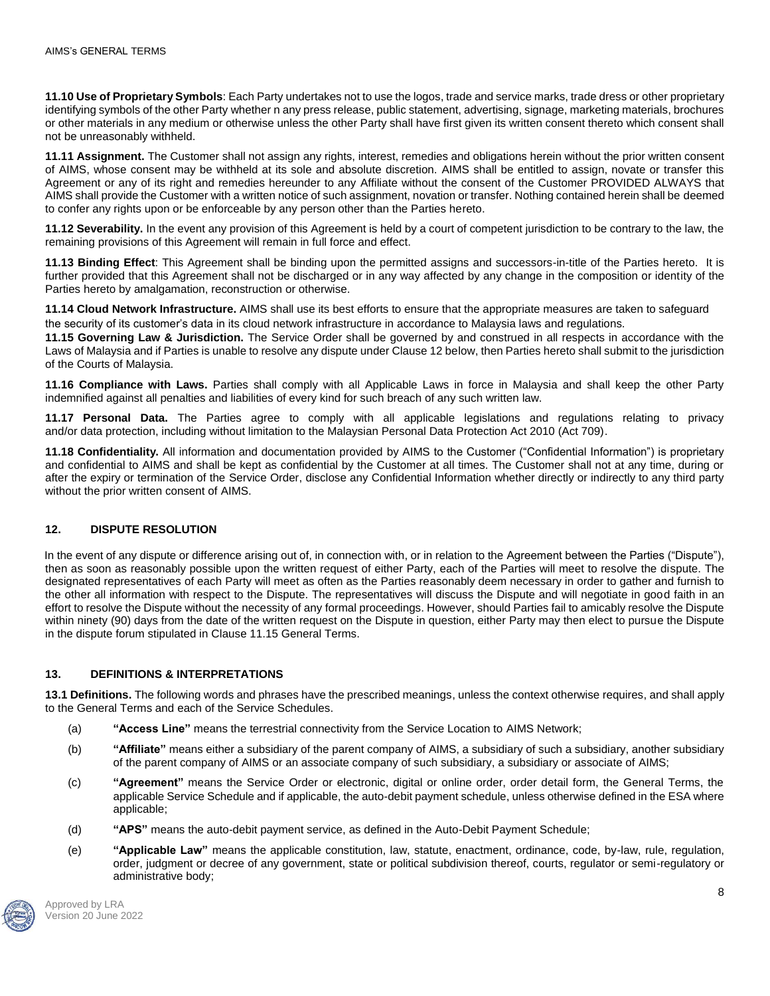**11.10 Use of Proprietary Symbols**: Each Party undertakes not to use the logos, trade and service marks, trade dress or other proprietary identifying symbols of the other Party whether n any press release, public statement, advertising, signage, marketing materials, brochures or other materials in any medium or otherwise unless the other Party shall have first given its written consent thereto which consent shall not be unreasonably withheld.

**11.11 Assignment.** The Customer shall not assign any rights, interest, remedies and obligations herein without the prior written consent of AIMS, whose consent may be withheld at its sole and absolute discretion. AIMS shall be entitled to assign, novate or transfer this Agreement or any of its right and remedies hereunder to any Affiliate without the consent of the Customer PROVIDED ALWAYS that AIMS shall provide the Customer with a written notice of such assignment, novation or transfer. Nothing contained herein shall be deemed to confer any rights upon or be enforceable by any person other than the Parties hereto.

**11.12 Severability.** In the event any provision of this Agreement is held by a court of competent jurisdiction to be contrary to the law, the remaining provisions of this Agreement will remain in full force and effect.

**11.13 Binding Effect**: This Agreement shall be binding upon the permitted assigns and successors-in-title of the Parties hereto. It is further provided that this Agreement shall not be discharged or in any way affected by any change in the composition or identity of the Parties hereto by amalgamation, reconstruction or otherwise.

**11.14 Cloud Network Infrastructure.** AIMS shall use its best efforts to ensure that the appropriate measures are taken to safeguard the security of its customer's data in its cloud network infrastructure in accordance to Malaysia laws and regulations.

**11.15 Governing Law & Jurisdiction.** The Service Order shall be governed by and construed in all respects in accordance with the Laws of Malaysia and if Parties is unable to resolve any dispute under Clause 12 below, then Parties hereto shall submit to the jurisdiction of the Courts of Malaysia.

**11.16 Compliance with Laws.** Parties shall comply with all Applicable Laws in force in Malaysia and shall keep the other Party indemnified against all penalties and liabilities of every kind for such breach of any such written law.

**11.17 Personal Data.** The Parties agree to comply with all applicable legislations and regulations relating to privacy and/or data protection, including without limitation to the Malaysian Personal Data Protection Act 2010 (Act 709).

**11.18 Confidentiality.** All information and documentation provided by AIMS to the Customer ("Confidential Information") is proprietary and confidential to AIMS and shall be kept as confidential by the Customer at all times. The Customer shall not at any time, during or after the expiry or termination of the Service Order, disclose any Confidential Information whether directly or indirectly to any third party without the prior written consent of AIMS.

# **12. DISPUTE RESOLUTION**

In the event of any dispute or difference arising out of, in connection with, or in relation to the Agreement between the Parties ("Dispute"), then as soon as reasonably possible upon the written request of either Party, each of the Parties will meet to resolve the dispute. The designated representatives of each Party will meet as often as the Parties reasonably deem necessary in order to gather and furnish to the other all information with respect to the Dispute. The representatives will discuss the Dispute and will negotiate in good faith in an effort to resolve the Dispute without the necessity of any formal proceedings. However, should Parties fail to amicably resolve the Dispute within ninety (90) days from the date of the written request on the Dispute in question, either Party may then elect to pursue the Dispute in the dispute forum stipulated in Clause 11.15 General Terms.

### **13. DEFINITIONS & INTERPRETATIONS**

**13.1 Definitions.** The following words and phrases have the prescribed meanings, unless the context otherwise requires, and shall apply to the General Terms and each of the Service Schedules.

- (a) **"Access Line"** means the terrestrial connectivity from the Service Location to AIMS Network;
- (b) **"Affiliate"** means either a subsidiary of the parent company of AIMS, a subsidiary of such a subsidiary, another subsidiary of the parent company of AIMS or an associate company of such subsidiary, a subsidiary or associate of AIMS;
- (c) **"Agreement"** means the Service Order or electronic, digital or online order, order detail form, the General Terms, the applicable Service Schedule and if applicable, the auto-debit payment schedule, unless otherwise defined in the ESA where applicable;
- (d) **"APS"** means the auto-debit payment service, as defined in the Auto-Debit Payment Schedule;
- (e) **"Applicable Law"** means the applicable constitution, law, statute, enactment, ordinance, code, by-law, rule, regulation, order, judgment or decree of any government, state or political subdivision thereof, courts, regulator or semi-regulatory or administrative body;

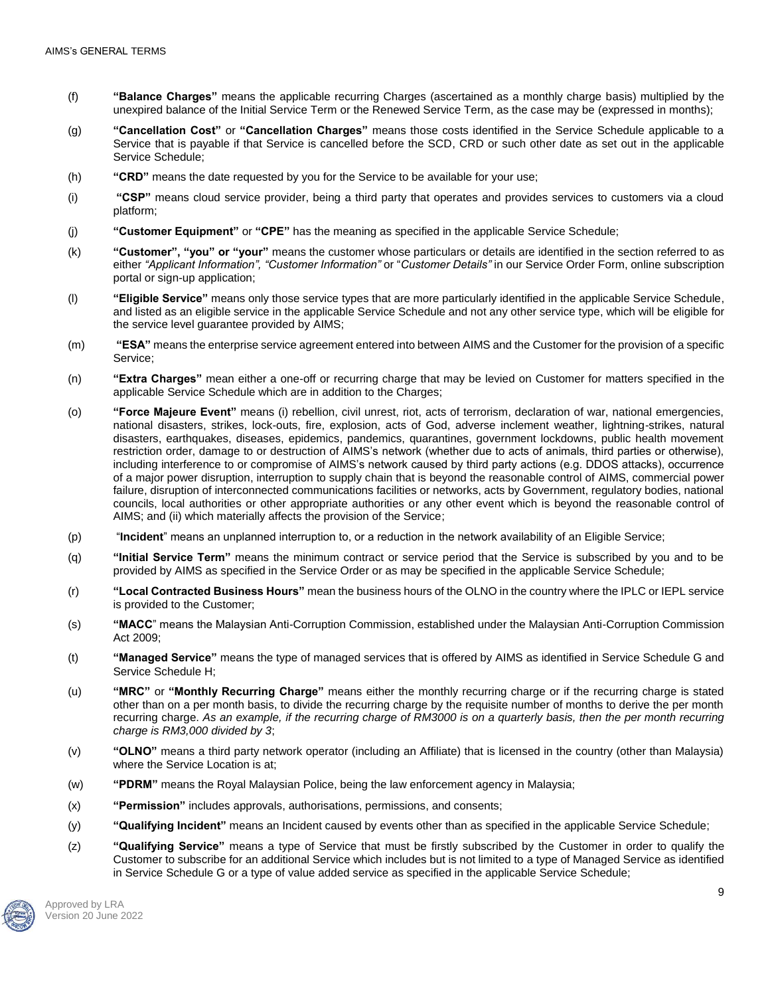- (f) **"Balance Charges"** means the applicable recurring Charges (ascertained as a monthly charge basis) multiplied by the unexpired balance of the Initial Service Term or the Renewed Service Term, as the case may be (expressed in months);
- (g) **"Cancellation Cost"** or **"Cancellation Charges"** means those costs identified in the Service Schedule applicable to a Service that is payable if that Service is cancelled before the SCD, CRD or such other date as set out in the applicable Service Schedule;
- (h) **"CRD"** means the date requested by you for the Service to be available for your use;
- (i) **"CSP"** means cloud service provider, being a third party that operates and provides services to customers via a cloud platform;
- (j) **"Customer Equipment"** or **"CPE"** has the meaning as specified in the applicable Service Schedule;
- (k) **"Customer", "you" or "your"** means the customer whose particulars or details are identified in the section referred to as either *"Applicant Information", "Customer Information"* or "*Customer Details"* in our Service Order Form, online subscription portal or sign-up application;
- (l) **"Eligible Service"** means only those service types that are more particularly identified in the applicable Service Schedule, and listed as an eligible service in the applicable Service Schedule and not any other service type, which will be eligible for the service level guarantee provided by AIMS;
- (m) **"ESA"** means the enterprise service agreement entered into between AIMS and the Customer for the provision of a specific Service;
- (n) **"Extra Charges"** mean either a one-off or recurring charge that may be levied on Customer for matters specified in the applicable Service Schedule which are in addition to the Charges;
- (o) **"Force Majeure Event"** means (i) rebellion, civil unrest, riot, acts of terrorism, declaration of war, national emergencies, national disasters, strikes, lock-outs, fire, explosion, acts of God, adverse inclement weather, lightning-strikes, natural disasters, earthquakes, diseases, epidemics, pandemics, quarantines, government lockdowns, public health movement restriction order, damage to or destruction of AIMS's network (whether due to acts of animals, third parties or otherwise), including interference to or compromise of AIMS's network caused by third party actions (e.g. DDOS attacks), occurrence of a major power disruption, interruption to supply chain that is beyond the reasonable control of AIMS, commercial power failure, disruption of interconnected communications facilities or networks, acts by Government, regulatory bodies, national councils, local authorities or other appropriate authorities or any other event which is beyond the reasonable control of AIMS; and (ii) which materially affects the provision of the Service;
- (p) "**Incident**" means an unplanned interruption to, or a reduction in the network availability of an Eligible Service;
- (q) **"Initial Service Term"** means the minimum contract or service period that the Service is subscribed by you and to be provided by AIMS as specified in the Service Order or as may be specified in the applicable Service Schedule;
- (r) **"Local Contracted Business Hours"** mean the business hours of the OLNO in the country where the IPLC or IEPL service is provided to the Customer;
- (s) **"MACC**" means the Malaysian Anti-Corruption Commission, established under the Malaysian Anti-Corruption Commission Act 2009;
- (t) **"Managed Service"** means the type of managed services that is offered by AIMS as identified in Service Schedule G and Service Schedule H;
- (u) **"MRC"** or **"Monthly Recurring Charge"** means either the monthly recurring charge or if the recurring charge is stated other than on a per month basis, to divide the recurring charge by the requisite number of months to derive the per month recurring charge. *As an example, if the recurring charge of RM3000 is on a quarterly basis, then the per month recurring charge is RM3,000 divided by 3*;
- (v) **"OLNO"** means a third party network operator (including an Affiliate) that is licensed in the country (other than Malaysia) where the Service Location is at;
- (w) **"PDRM"** means the Royal Malaysian Police, being the law enforcement agency in Malaysia;
- (x) **"Permission"** includes approvals, authorisations, permissions, and consents;
- (y) **"Qualifying Incident"** means an Incident caused by events other than as specified in the applicable Service Schedule;
- (z) **"Qualifying Service"** means a type of Service that must be firstly subscribed by the Customer in order to qualify the Customer to subscribe for an additional Service which includes but is not limited to a type of Managed Service as identified in Service Schedule G or a type of value added service as specified in the applicable Service Schedule;

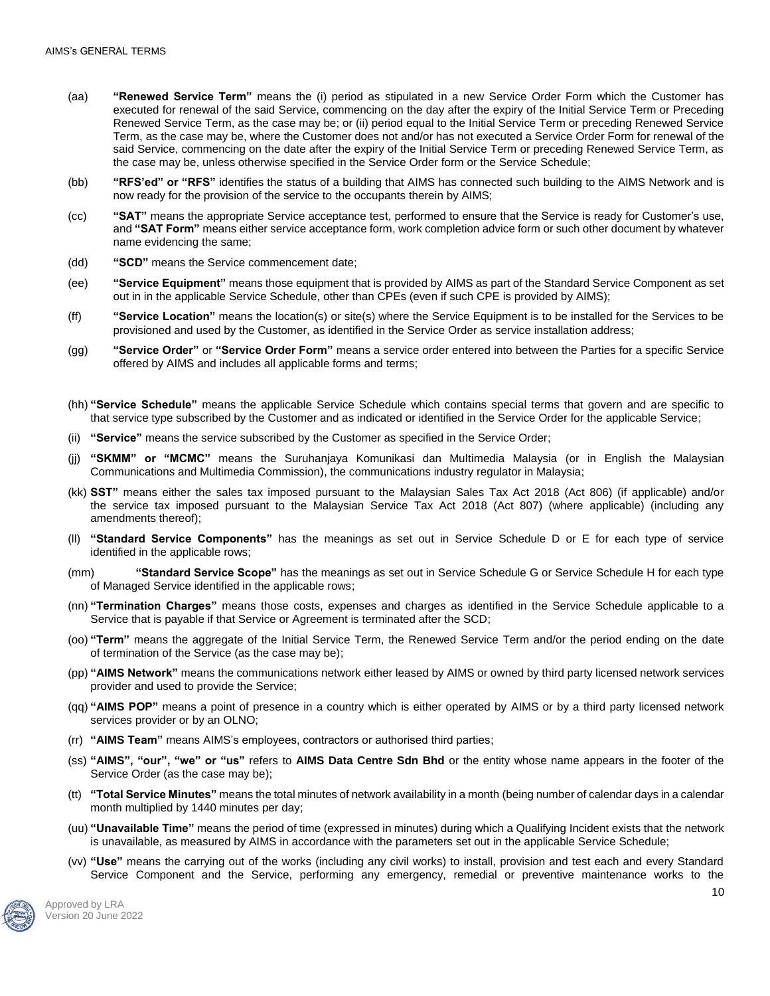- (aa) **"Renewed Service Term"** means the (i) period as stipulated in a new Service Order Form which the Customer has executed for renewal of the said Service, commencing on the day after the expiry of the Initial Service Term or Preceding Renewed Service Term, as the case may be; or (ii) period equal to the Initial Service Term or preceding Renewed Service Term, as the case may be, where the Customer does not and/or has not executed a Service Order Form for renewal of the said Service, commencing on the date after the expiry of the Initial Service Term or preceding Renewed Service Term, as the case may be, unless otherwise specified in the Service Order form or the Service Schedule;
- (bb) **"RFS'ed" or "RFS"** identifies the status of a building that AIMS has connected such building to the AIMS Network and is now ready for the provision of the service to the occupants therein by AIMS;
- (cc) **"SAT"** means the appropriate Service acceptance test, performed to ensure that the Service is ready for Customer's use, and **"SAT Form"** means either service acceptance form, work completion advice form or such other document by whatever name evidencing the same;
- (dd) **"SCD"** means the Service commencement date;
- (ee) **"Service Equipment"** means those equipment that is provided by AIMS as part of the Standard Service Component as set out in in the applicable Service Schedule, other than CPEs (even if such CPE is provided by AIMS);
- (ff) **"Service Location"** means the location(s) or site(s) where the Service Equipment is to be installed for the Services to be provisioned and used by the Customer, as identified in the Service Order as service installation address;
- (gg) **"Service Order"** or **"Service Order Form"** means a service order entered into between the Parties for a specific Service offered by AIMS and includes all applicable forms and terms;
- (hh) **"Service Schedule"** means the applicable Service Schedule which contains special terms that govern and are specific to that service type subscribed by the Customer and as indicated or identified in the Service Order for the applicable Service;
- (ii) **"Service"** means the service subscribed by the Customer as specified in the Service Order;
- (jj) **"SKMM" or "MCMC"** means the Suruhanjaya Komunikasi dan Multimedia Malaysia (or in English the Malaysian Communications and Multimedia Commission), the communications industry regulator in Malaysia;
- (kk) **SST"** means either the sales tax imposed pursuant to the Malaysian Sales Tax Act 2018 (Act 806) (if applicable) and/or the service tax imposed pursuant to the Malaysian Service Tax Act 2018 (Act 807) (where applicable) (including any amendments thereof);
- (ll) **"Standard Service Components"** has the meanings as set out in Service Schedule D or E for each type of service identified in the applicable rows;
- (mm) **"Standard Service Scope"** has the meanings as set out in Service Schedule G or Service Schedule H for each type of Managed Service identified in the applicable rows;
- (nn) **"Termination Charges"** means those costs, expenses and charges as identified in the Service Schedule applicable to a Service that is payable if that Service or Agreement is terminated after the SCD;
- (oo) **"Term"** means the aggregate of the Initial Service Term, the Renewed Service Term and/or the period ending on the date of termination of the Service (as the case may be);
- (pp) **"AIMS Network"** means the communications network either leased by AIMS or owned by third party licensed network services provider and used to provide the Service;
- (qq) **"AIMS POP"** means a point of presence in a country which is either operated by AIMS or by a third party licensed network services provider or by an OLNO;
- (rr) **"AIMS Team"** means AIMS's employees, contractors or authorised third parties;
- (ss) **"AIMS", "our", "we" or "us"** refers to **AIMS Data Centre Sdn Bhd** or the entity whose name appears in the footer of the Service Order (as the case may be);
- (tt) **"Total Service Minutes"** means the total minutes of network availability in a month (being number of calendar days in a calendar month multiplied by 1440 minutes per day;
- (uu) **"Unavailable Time"** means the period of time (expressed in minutes) during which a Qualifying Incident exists that the network is unavailable, as measured by AIMS in accordance with the parameters set out in the applicable Service Schedule;
- (vv) **"Use"** means the carrying out of the works (including any civil works) to install, provision and test each and every Standard Service Component and the Service, performing any emergency, remedial or preventive maintenance works to the